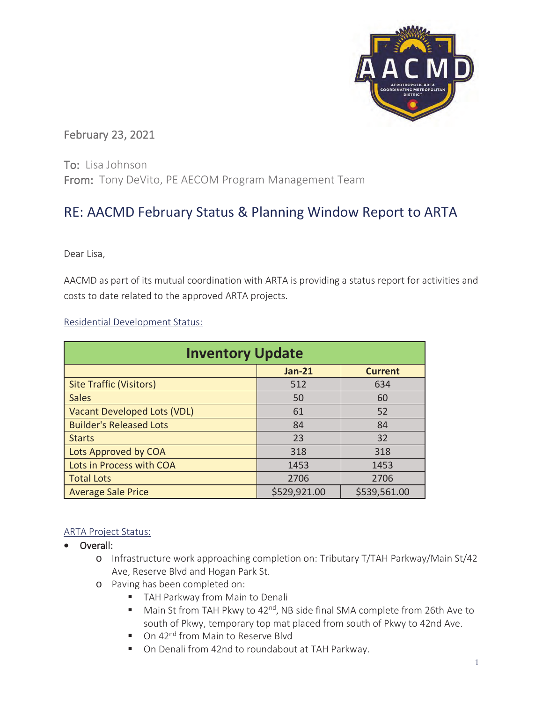

## February 23, 2021

To: Lisa Johnson From: Tony DeVito, PE AECOM Program Management Team

## RE: AACMD February Status & Planning Window Report to ARTA

Dear Lisa,

AACMD as part of its mutual coordination with ARTA is providing a status report for activities and costs to date related to the approved ARTA projects.

Residential Development Status:

| <b>Inventory Update</b>        |               |                |  |  |  |  |  |  |  |  |  |
|--------------------------------|---------------|----------------|--|--|--|--|--|--|--|--|--|
|                                | <b>Jan-21</b> | <b>Current</b> |  |  |  |  |  |  |  |  |  |
| <b>Site Traffic (Visitors)</b> | 512           | 634            |  |  |  |  |  |  |  |  |  |
| <b>Sales</b>                   | 50            | 60             |  |  |  |  |  |  |  |  |  |
| Vacant Developed Lots (VDL)    | 61            | 52             |  |  |  |  |  |  |  |  |  |
| <b>Builder's Released Lots</b> | 84            | 84             |  |  |  |  |  |  |  |  |  |
| <b>Starts</b>                  | 23            | 32             |  |  |  |  |  |  |  |  |  |
| Lots Approved by COA           | 318           | 318            |  |  |  |  |  |  |  |  |  |
| Lots in Process with COA       | 1453          | 1453           |  |  |  |  |  |  |  |  |  |
| <b>Total Lots</b>              | 2706          | 2706           |  |  |  |  |  |  |  |  |  |
| <b>Average Sale Price</b>      | \$529,921.00  | \$539,561.00   |  |  |  |  |  |  |  |  |  |

## ARTA Project Status:

- Overall:
	- o Infrastructure work approaching completion on: Tributary T/TAH Parkway/Main St/42 Ave, Reserve Blvd and Hogan Park St.
	- o Paving has been completed on:
		- **TAH Parkway from Main to Denali**
		- Main St from TAH Pkwy to  $42^{nd}$ , NB side final SMA complete from 26th Ave to south of Pkwy, temporary top mat placed from south of Pkwy to 42nd Ave.
		- On 42<sup>nd</sup> from Main to Reserve Blyd
		- On Denali from 42nd to roundabout at TAH Parkway.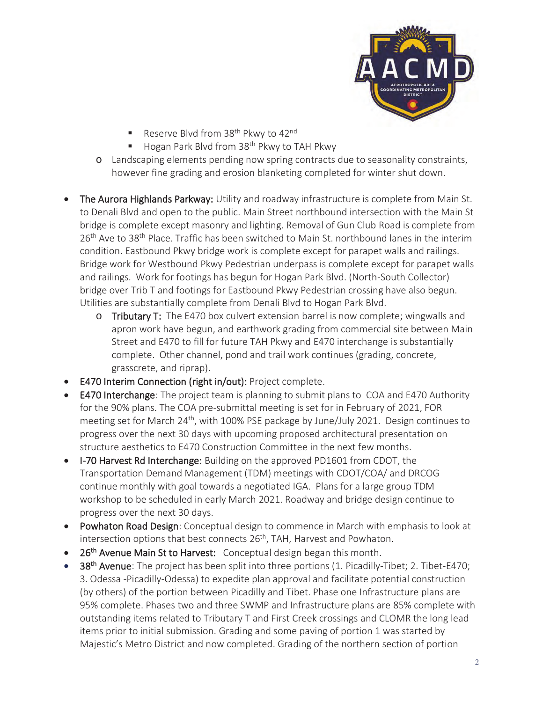

- Reserve Blvd from 38<sup>th</sup> Pkwy to 42<sup>nd</sup>
- Hogan Park Blvd from  $38<sup>th</sup>$  Pkwy to TAH Pkwy
- o Landscaping elements pending now spring contracts due to seasonality constraints, however fine grading and erosion blanketing completed for winter shut down.
- The Aurora Highlands Parkway: Utility and roadway infrastructure is complete from Main St. to Denali Blvd and open to the public. Main Street northbound intersection with the Main St bridge is complete except masonry and lighting. Removal of Gun Club Road is complete from  $26<sup>th</sup>$  Ave to 38<sup>th</sup> Place. Traffic has been switched to Main St. northbound lanes in the interim condition. Eastbound Pkwy bridge work is complete except for parapet walls and railings. Bridge work for Westbound Pkwy Pedestrian underpass is complete except for parapet walls and railings. Work for footings has begun for Hogan Park Blvd. (North-South Collector) bridge over Trib T and footings for Eastbound Pkwy Pedestrian crossing have also begun. Utilities are substantially complete from Denali Blvd to Hogan Park Blvd.
	- $\circ$  Tributary T: The E470 box culvert extension barrel is now complete; wingwalls and apron work have begun, and earthwork grading from commercial site between Main Street and E470 to fill for future TAH Pkwy and E470 interchange is substantially complete. Other channel, pond and trail work continues (grading, concrete, grasscrete, and riprap).
- E470 Interim Connection (right in/out): Project complete.
- E470 Interchange: The project team is planning to submit plans to COA and E470 Authority for the 90% plans. The COA pre-submittal meeting is set for in February of 2021, FOR meeting set for March 24<sup>th</sup>, with 100% PSE package by June/July 2021. Design continues to progress over the next 30 days with upcoming proposed architectural presentation on structure aesthetics to E470 Construction Committee in the next few months.
- I-70 Harvest Rd Interchange: Building on the approved PD1601 from CDOT, the Transportation Demand Management (TDM) meetings with CDOT/COA/ and DRCOG continue monthly with goal towards a negotiated IGA. Plans for a large group TDM workshop to be scheduled in early March 2021. Roadway and bridge design continue to progress over the next 30 days.
- Powhaton Road Design: Conceptual design to commence in March with emphasis to look at intersection options that best connects 26<sup>th</sup>, TAH, Harvest and Powhaton.
- 26<sup>th</sup> Avenue Main St to Harvest: Conceptual design began this month.
- 38<sup>th</sup> Avenue: The project has been split into three portions (1. Picadilly-Tibet; 2. Tibet-E470; 3. Odessa -Picadilly-Odessa) to expedite plan approval and facilitate potential construction (by others) of the portion between Picadilly and Tibet. Phase one Infrastructure plans are 95% complete. Phases two and three SWMP and Infrastructure plans are 85% complete with outstanding items related to Tributary T and First Creek crossings and CLOMR the long lead items prior to initial submission. Grading and some paving of portion 1 was started by Majestic's Metro District and now completed. Grading of the northern section of portion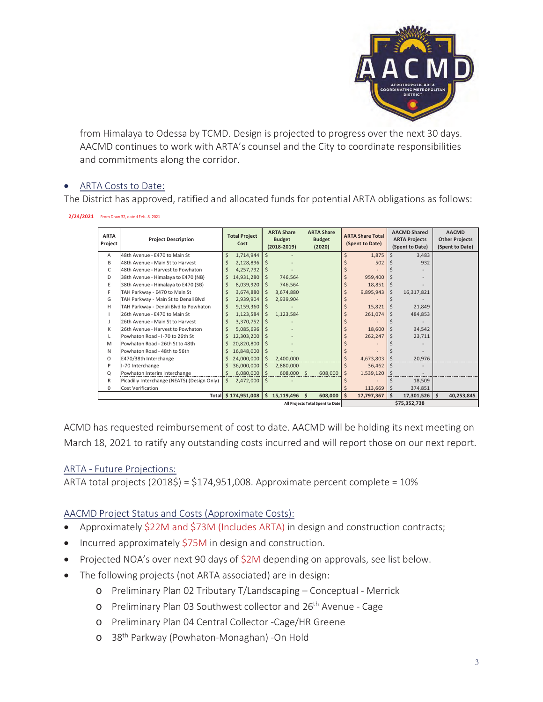

from Himalaya to Odessa by TCMD. Design is projected to progress over the next 30 days. AACMD continues to work with ARTA's counsel and the City to coordinate responsibilities and commitments along the corridor.

## ARTA Costs to Date:

The District has approved, ratified and allocated funds for potential ARTA obligations as follows:

**2/24/2021** From Draw 32, dated Feb. 8, 2021

| <b>ARTA</b><br>Project | <b>Project Description</b>                  | <b>Total Project</b><br>Cost |                     | <b>ARTA Share</b><br><b>Budget</b> |              | <b>ARTA Share</b><br><b>Budget</b> |         | <b>ARTA Share Total</b><br>(Spent to Date) |             | <b>AACMD Shared</b><br><b>ARTA Projects</b> |                 |  | <b>AACMD</b><br><b>Other Projects</b> |
|------------------------|---------------------------------------------|------------------------------|---------------------|------------------------------------|--------------|------------------------------------|---------|--------------------------------------------|-------------|---------------------------------------------|-----------------|--|---------------------------------------|
|                        |                                             |                              |                     | $(2018 - 2019)$                    |              | (2020)                             |         |                                            |             | (Spent to Date)                             |                 |  | (Spent to Date)                       |
| A                      | 48th Avenue - E470 to Main St               | \$                           | 1,714,944           | Ś                                  |              |                                    |         |                                            | 1,875       |                                             | 3,483           |  |                                       |
| B                      | 48th Avenue - Main St to Harvest            |                              | 2,128,896           | Ś                                  |              |                                    |         |                                            | 502         |                                             | 932             |  |                                       |
| C                      | 48th Avenue - Harvest to Powhaton           |                              | 4,257,792           | Ś                                  |              |                                    |         |                                            |             |                                             |                 |  |                                       |
| D                      | 38th Avenue - Himalaya to E470 (NB)         | \$                           | 14,931,280          | Ś.                                 | 746,564      |                                    |         |                                            | 959,400     |                                             |                 |  |                                       |
| E                      | 38th Avenue - Himalaya to E470 (SB)         |                              | 8,039,920           | S                                  | 746,564      |                                    |         |                                            | $18,851$ \$ |                                             |                 |  |                                       |
| F                      | TAH Parkway - E470 to Main St               |                              | 3,674,880           | S                                  | 3,674,880    |                                    |         |                                            | 9,895,943   | <sup>\$</sup>                               | 16,317,821      |  |                                       |
| G                      | TAH Parkway - Main St to Denali Blvd        |                              | 2,939,904           | S                                  | 2,939,904    |                                    |         |                                            |             |                                             |                 |  |                                       |
| H                      | TAH Parkway - Denali Blvd to Powhaton       |                              | 9,159,360           |                                    |              |                                    |         |                                            | 15.821      |                                             | 21,849          |  |                                       |
|                        | 26th Avenue - E470 to Main St               |                              | 1,123,584           |                                    | 1,123,584    |                                    |         |                                            | 261,074     | S                                           | 484,853         |  |                                       |
| J                      | 26th Avenue - Main St to Harvest            |                              | 3,370,752           | S                                  |              |                                    |         |                                            |             |                                             |                 |  |                                       |
| К                      | 26th Avenue - Harvest to Powhaton           |                              | 5,085,696           | S                                  |              |                                    |         |                                            | 18,600      |                                             | 34,542          |  |                                       |
| L                      | Powhaton Road - I-70 to 26th St             | Ś.                           | 12,303,200          |                                    |              |                                    |         |                                            | 262,247     |                                             | 23,711          |  |                                       |
| M                      | Powhaton Road - 26th St to 48th             |                              | 20,820,800          | Ś                                  |              |                                    |         |                                            |             |                                             |                 |  |                                       |
| N                      | Powhaton Road - 48th to 56th                |                              | 16,848,000          |                                    |              |                                    |         |                                            |             |                                             |                 |  |                                       |
| O                      | E470/38th Interchange                       |                              | 24,000,000          | Ś.                                 | 2,400,000    |                                    |         |                                            | 4,673,803   | \$                                          | 20,976          |  |                                       |
| P                      | I-70 Interchange                            | Ś.                           | 36,000,000          | Ś.                                 | 2,880,000    |                                    |         |                                            | $36,462$ \$ |                                             |                 |  |                                       |
| Q                      | Powhaton Interim Interchange                |                              | 6,080,000           | Ś.                                 | 608,000 \$   |                                    | 608,000 |                                            | 1,539,120   |                                             |                 |  |                                       |
| $\mathsf{R}$           | Picadilly Interchange (NEATS) (Design Only) | Ŝ.                           | 2,472,000           | Ś                                  |              |                                    |         |                                            |             |                                             | 18,509          |  |                                       |
| $\mathbf 0$            | Cost Verification                           |                              |                     |                                    |              |                                    |         |                                            | 113,669     |                                             | 374,851         |  |                                       |
|                        |                                             |                              | Total \$174,951,008 |                                    | \$15,119,496 | Ś.                                 | 608,000 | Ś.                                         | 17,797,367  | Ŝ.                                          | $17,301,526$ \$ |  | 40,253,845                            |
|                        | All Projects Total Spent to Date            |                              |                     |                                    |              |                                    |         | \$75,352,738                               |             |                                             |                 |  |                                       |

ACMD has requested reimbursement of cost to date. AACMD will be holding its next meeting on March 18, 2021 to ratify any outstanding costs incurred and will report those on our next report.

ARTA - Future Projections:

ARTA total projects  $(2018\zeta) = \zeta$ 174,951,008. Approximate percent complete = 10%

AACMD Project Status and Costs (Approximate Costs):

- Approximately \$22M and \$73M (Includes ARTA) in design and construction contracts;
- $\bullet$  Incurred approximately \$75M in design and construction.
- Projected NOA's over next 90 days of  $$2M$  depending on approvals, see list below.
- The following projects (not ARTA associated) are in design:
	- o Preliminary Plan 02 Tributary T/Landscaping Conceptual Merrick
	- o Preliminary Plan 03 Southwest collector and 26<sup>th</sup> Avenue Cage
	- o Preliminary Plan 04 Central Collector -Cage/HR Greene
	- o 38th Parkway (Powhaton-Monaghan) -On Hold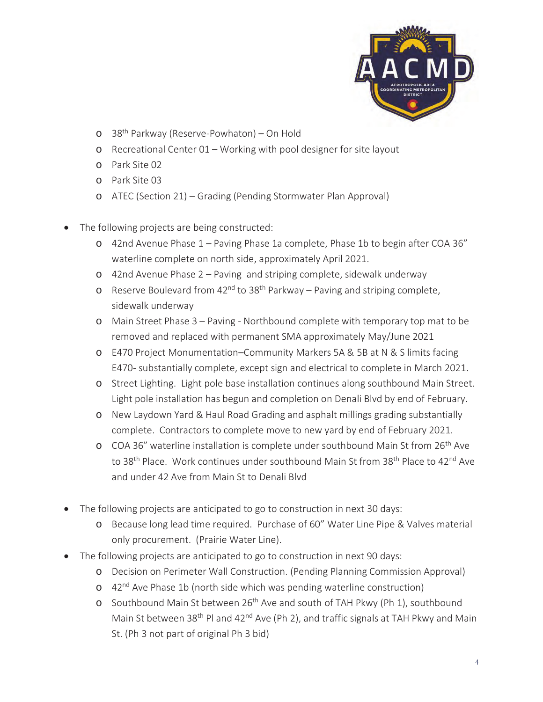

- o 38th Parkway (Reserve-Powhaton) On Hold
- o Recreational Center 01 Working with pool designer for site layout
- o Park Site 02
- o Park Site 03
- o ATEC (Section 21) Grading (Pending Stormwater Plan Approval)
- The following projects are being constructed:
	- o 42nd Avenue Phase 1 Paving Phase 1a complete, Phase 1b to begin after COA 36" waterline complete on north side, approximately April 2021.
	- o 42nd Avenue Phase 2 Paving and striping complete, sidewalk underway
	- o Reserve Boulevard from  $42^{nd}$  to  $38^{th}$  Parkway Paving and striping complete, sidewalk underway
	- o Main Street Phase 3 Paving Northbound complete with temporary top mat to be removed and replaced with permanent SMA approximately May/June 2021
	- o E470 Project Monumentation–Community Markers 5A & 5B at N & S limits facing E470- substantially complete, except sign and electrical to complete in March 2021.
	- o Street Lighting. Light pole base installation continues along southbound Main Street. Light pole installation has begun and completion on Denali Blvd by end of February.
	- o New Laydown Yard & Haul Road Grading and asphalt millings grading substantially complete. Contractors to complete move to new yard by end of February 2021.
	- o COA 36" waterline installation is complete under southbound Main St from 26<sup>th</sup> Ave to 38<sup>th</sup> Place. Work continues under southbound Main St from 38<sup>th</sup> Place to 42<sup>nd</sup> Ave and under 42 Ave from Main St to Denali Blvd
- The following projects are anticipated to go to construction in next 30 days:
	- o Because long lead time required. Purchase of 60" Water Line Pipe & Valves material only procurement. (Prairie Water Line).
- The following projects are anticipated to go to construction in next 90 days:
	- o Decision on Perimeter Wall Construction. (Pending Planning Commission Approval)
	- o 42<sup>nd</sup> Ave Phase 1b (north side which was pending waterline construction)
	- o Southbound Main St between 26<sup>th</sup> Ave and south of TAH Pkwy (Ph 1), southbound Main St between 38<sup>th</sup> Pl and 42<sup>nd</sup> Ave (Ph 2), and traffic signals at TAH Pkwy and Main St. (Ph 3 not part of original Ph 3 bid)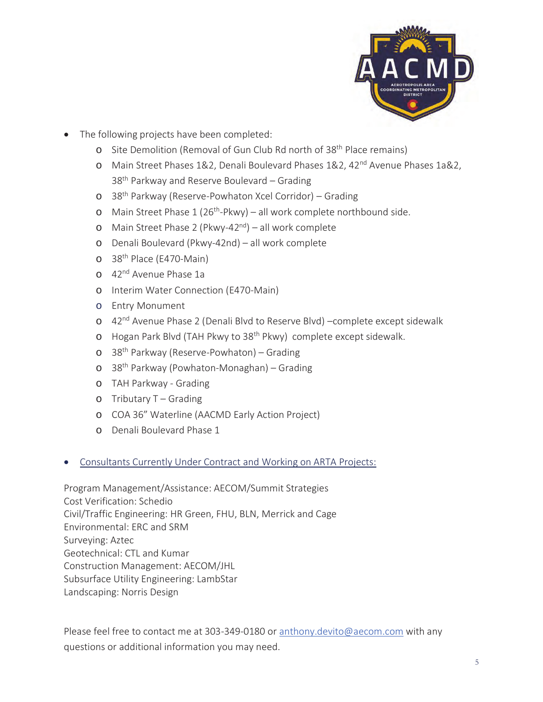

- The following projects have been completed:
	- o Site Demolition (Removal of Gun Club Rd north of 38<sup>th</sup> Place remains)
	- o Main Street Phases 1&2, Denali Boulevard Phases 1&2, 42<sup>nd</sup> Avenue Phases 1a&2, 38<sup>th</sup> Parkway and Reserve Boulevard – Grading
	- o 38th Parkway (Reserve-Powhaton Xcel Corridor) Grading
	- o Main Street Phase  $1(26<sup>th</sup>-Pkwy) all work complete northbound side.$
	- o Main Street Phase 2 (Pkwy-42<sup>nd</sup>) all work complete
	- o Denali Boulevard (Pkwy-42nd) all work complete
	- o 38<sup>th</sup> Place (E470-Main)
	- o 42<sup>nd</sup> Avenue Phase 1a
	- o Interim Water Connection (E470-Main)
	- o Entry Monument
	- o 42<sup>nd</sup> Avenue Phase 2 (Denali Blvd to Reserve Blvd) –complete except sidewalk
	- o Hogan Park Blvd (TAH Pkwy to 38<sup>th</sup> Pkwy) complete except sidewalk.
	- o 38th Parkway (Reserve-Powhaton) Grading
	- o 38th Parkway (Powhaton-Monaghan) Grading
	- o TAH Parkway Grading
	- $o$  Tributary T Grading
	- o COA 36" Waterline (AACMD Early Action Project)
	- o Denali Boulevard Phase 1
- Consultants Currently Under Contract and Working on ARTA Projects:

Program Management/Assistance: AECOM/Summit Strategies Cost Verification: Schedio Civil/Traffic Engineering: HR Green, FHU, BLN, Merrick and Cage Environmental: ERC and SRM Surveying: Aztec Geotechnical: CTL and Kumar Construction Management: AECOM/JHL Subsurface Utility Engineering: LambStar Landscaping: Norris Design

Please feel free to contact me at 303-349-0180 or anthony.devito@aecom.com with any questions or additional information you may need.